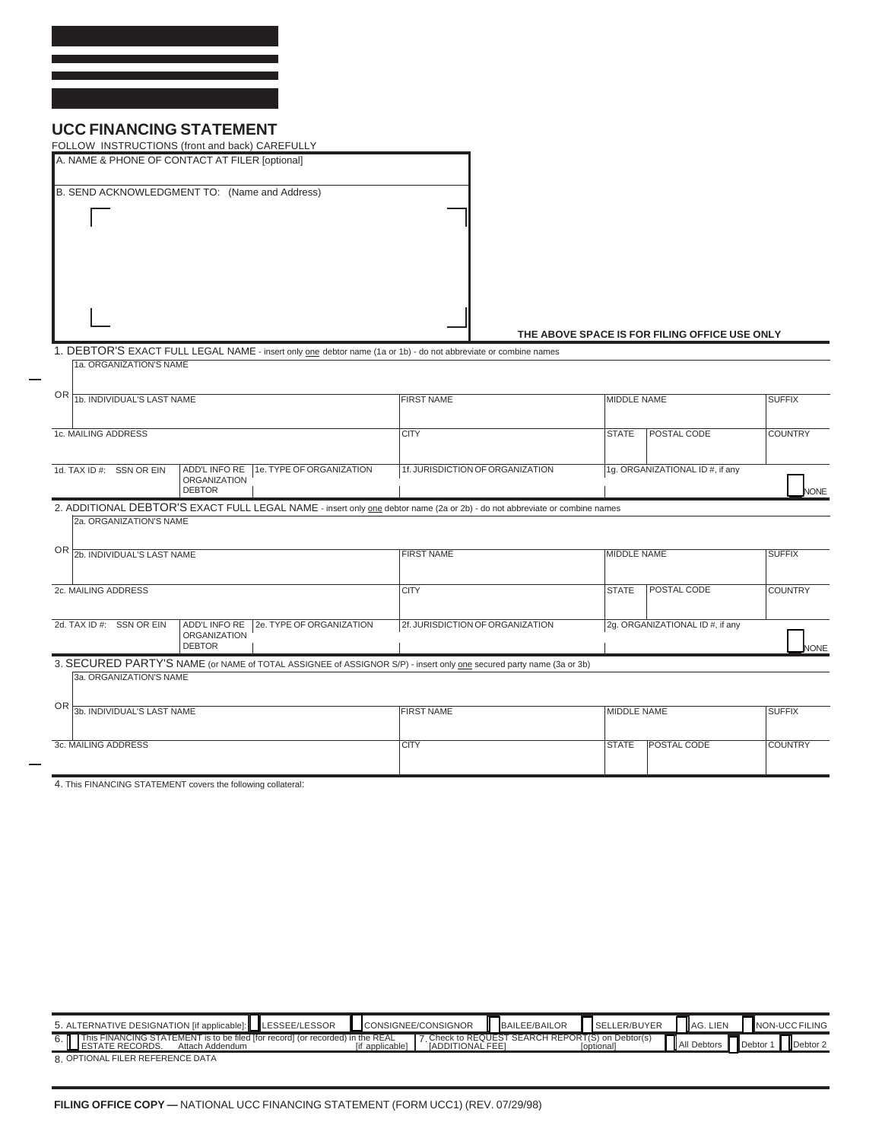## **UCC FINANCING STATEMENT**

|                                                                                           | FOLLOW INSTRUCTIONS (front and back) CAREFULLY                                                                             |                                         |                                 |                                               |                |  |  |
|-------------------------------------------------------------------------------------------|----------------------------------------------------------------------------------------------------------------------------|-----------------------------------------|---------------------------------|-----------------------------------------------|----------------|--|--|
|                                                                                           | A. NAME & PHONE OF CONTACT AT FILER [optional]                                                                             |                                         |                                 |                                               |                |  |  |
|                                                                                           | B. SEND ACKNOWLEDGMENT TO: (Name and Address)                                                                              |                                         |                                 |                                               |                |  |  |
|                                                                                           |                                                                                                                            |                                         |                                 |                                               |                |  |  |
|                                                                                           |                                                                                                                            |                                         |                                 |                                               |                |  |  |
|                                                                                           |                                                                                                                            |                                         |                                 | THE ABOVE SPACE IS FOR FILING OFFICE USE ONLY |                |  |  |
|                                                                                           | 1. DEBTOR'S EXACT FULL LEGAL NAME - insert only one debtor name (1a or 1b) - do not abbreviate or combine names            |                                         |                                 |                                               |                |  |  |
| 1a. ORGANIZATION'S NAME                                                                   |                                                                                                                            |                                         |                                 |                                               |                |  |  |
| OR 1b. INDIVIDUAL'S LAST NAME                                                             |                                                                                                                            | <b>FIRST NAME</b>                       | <b>MIDDLE NAME</b>              |                                               | <b>SUFFIX</b>  |  |  |
|                                                                                           |                                                                                                                            |                                         |                                 |                                               |                |  |  |
| 1c. MAILING ADDRESS                                                                       |                                                                                                                            | <b>CITY</b>                             | <b>STATE</b>                    | <b>POSTAL CODE</b>                            | <b>COUNTRY</b> |  |  |
|                                                                                           |                                                                                                                            |                                         |                                 |                                               |                |  |  |
| ADD'L INFO RE 1e. TYPE OF ORGANIZATION<br>1d. TAX ID #: SSN OR EIN<br><b>ORGANIZATION</b> |                                                                                                                            | 1f. JURISDICTION OF ORGANIZATION        | 1g. ORGANIZATIONAL ID #, if any |                                               |                |  |  |
|                                                                                           | <b>DEBTOR</b>                                                                                                              |                                         |                                 |                                               | <b>NONE</b>    |  |  |
|                                                                                           | 2. ADDITIONAL DEBTOR'S EXACT FULL LEGAL NAME - insert only one debtor name (2a or 2b) - do not abbreviate or combine names |                                         |                                 |                                               |                |  |  |
| 2a. ORGANIZATION'S NAME                                                                   |                                                                                                                            |                                         |                                 |                                               |                |  |  |
| OR 2b. INDIVIDUAL'S LAST NAME                                                             |                                                                                                                            | <b>FIRST NAME</b><br><b>MIDDLE NAME</b> |                                 |                                               | <b>SUFFIX</b>  |  |  |
|                                                                                           |                                                                                                                            |                                         |                                 |                                               |                |  |  |
| 2c. MAILING ADDRESS                                                                       |                                                                                                                            | <b>CITY</b>                             | POSTAL CODE                     | <b>COUNTRY</b>                                |                |  |  |
|                                                                                           |                                                                                                                            |                                         |                                 |                                               |                |  |  |
| 2d. TAX ID #: SSN OR EIN                                                                  | 2e. TYPE OF ORGANIZATION<br>ADD'L INFO RE                                                                                  | 2f. JURISDICTION OF ORGANIZATION        |                                 | 2g. ORGANIZATIONAL ID #, if any               |                |  |  |
|                                                                                           | <b>ORGANIZATION</b><br><b>DEBTOR</b>                                                                                       |                                         |                                 |                                               | <b>NONE</b>    |  |  |
|                                                                                           | 3. SECURED PARTY'S NAME (or NAME of TOTAL ASSIGNEE of ASSIGNOR S/P) - insert only one secured party name (3a or 3b)        |                                         |                                 |                                               |                |  |  |
| 3a. ORGANIZATION'S NAME                                                                   |                                                                                                                            |                                         |                                 |                                               |                |  |  |
|                                                                                           |                                                                                                                            |                                         |                                 |                                               |                |  |  |
| OR 3b. INDIVIDUAL'S LAST NAME                                                             |                                                                                                                            | <b>FIRST NAME</b>                       | MIDDLE NAME                     |                                               | <b>SUFFIX</b>  |  |  |
| 3c. MAILING ADDRESS                                                                       |                                                                                                                            | <b>CITY</b>                             | <b>STATE</b>                    | POSTAL CODE                                   | <b>COUNTRY</b> |  |  |
|                                                                                           |                                                                                                                            |                                         |                                 |                                               |                |  |  |
|                                                                                           | 4 This FINANCING STATEMENT covers the following collateral                                                                 |                                         |                                 |                                               |                |  |  |

4. This FINANCING STATEMENT covers the following collateral:

| 5. ALTERNATIVE DESIGNATION [if applicable]: LESSEE/LESSOR                                                            |                | <b>I</b> CONSIGNEE/CONSIGNOR | BAILEE/BAILOR                                    | SELLER/BUYER             | AG. LIEN    | NON-UCC FILING       |
|----------------------------------------------------------------------------------------------------------------------|----------------|------------------------------|--------------------------------------------------|--------------------------|-------------|----------------------|
| 6. This FINANCING STATEMENT is to be filed [for record] (or recorded) in the REAL<br>ESTATE RECORDS. Attach Addendum | if applicable] | <b>IADDITIONAL FEET</b>      | 7 Check to REQUEST SEARCH REPORT(S) on Debtor(s) | <i><b>Toptionall</b></i> | All Debtors | Debtor 2<br>Debtor 1 |
| 8 OPTIONAL FILER REFERENCE DATA                                                                                      |                |                              |                                                  |                          |             |                      |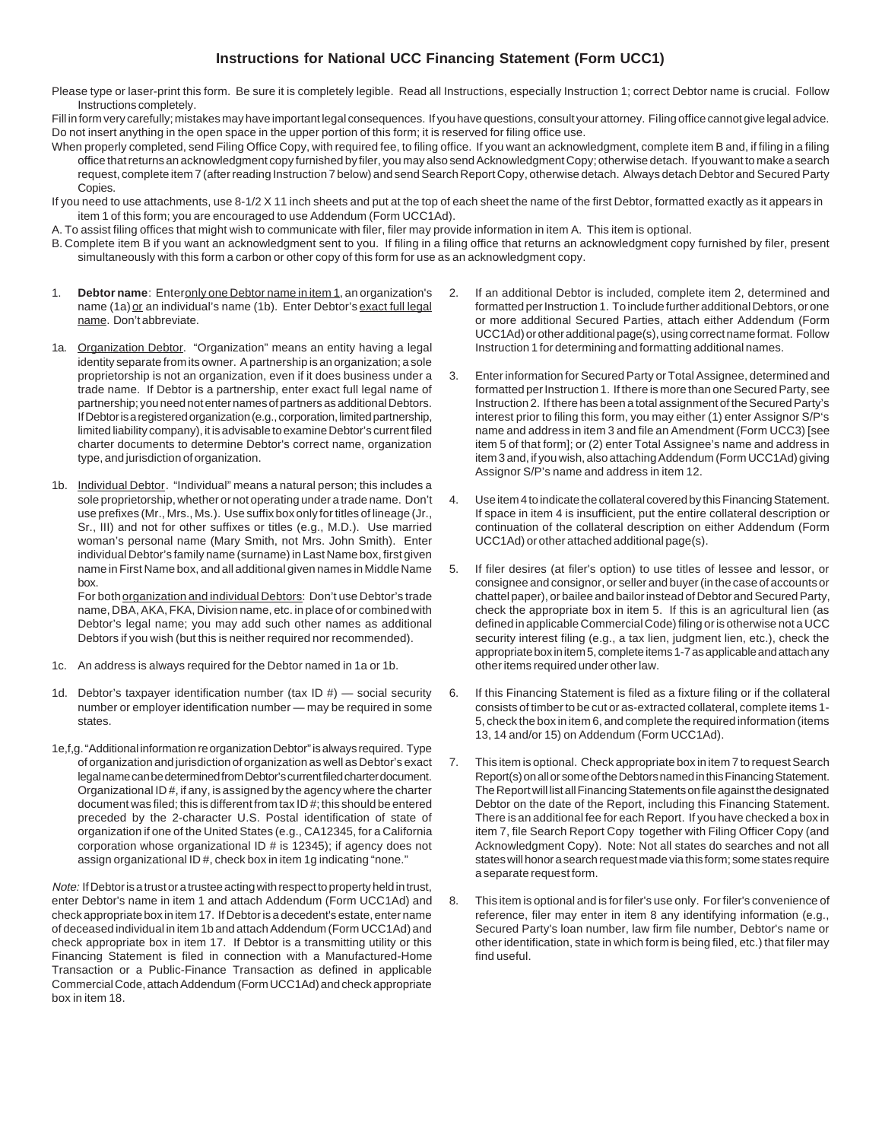## **Instructions for National UCC Financing Statement (Form UCC1)**

Please type or laser-print this form. Be sure it is completely legible. Read all Instructions, especially Instruction 1; correct Debtor name is crucial. Follow Instructions completely.

Fill in form very carefully; mistakes may have important legal consequences. If you have questions, consult your attorney. Filing office cannot give legal advice. Do not insert anything in the open space in the upper portion of this form; it is reserved for filing office use.

- When properly completed, send Filing Office Copy, with required fee, to filing office. If you want an acknowledgment, complete item B and, if filing in a filing office that returns an acknowledgment copy furnished by filer, you may also send Acknowledgment Copy; otherwise detach. If you want to make a search request, complete item 7 (after reading Instruction 7 below) and send Search Report Copy, otherwise detach. Always detach Debtor and Secured Party Copies.
- If you need to use attachments, use 8-1/2 X 11 inch sheets and put at the top of each sheet the name of the first Debtor, formatted exactly as it appears in item 1 of this form; you are encouraged to use Addendum (Form UCC1Ad).
- A. To assist filing offices that might wish to communicate with filer, filer may provide information in item A. This item is optional.
- B. Complete item B if you want an acknowledgment sent to you. If filing in a filing office that returns an acknowledgment copy furnished by filer, present simultaneously with this form a carbon or other copy of this form for use as an acknowledgment copy.
- 1. **Debtor name**: Enter only one Debtor name in item 1, an organization's name (1a) or an individual's name (1b). Enter Debtor's exact full legal name. Don't abbreviate.
- 1a. Organization Debtor. "Organization" means an entity having a legal identity separate from its owner. A partnership is an organization; a sole proprietorship is not an organization, even if it does business under a trade name. If Debtor is a partnership, enter exact full legal name of partnership; you need not enter names of partners as additional Debtors. If Debtor is a registered organization (e.g., corporation, limited partnership, limited liability company), it is advisable to examine Debtor's current filed charter documents to determine Debtor's correct name, organization type, and jurisdiction of organization.
- 1b. Individual Debtor. "Individual" means a natural person; this includes a sole proprietorship, whether or not operating under a trade name. Don't use prefixes (Mr., Mrs., Ms.). Use suffix box only for titles of lineage (Jr., Sr., III) and not for other suffixes or titles (e.g., M.D.). Use married woman's personal name (Mary Smith, not Mrs. John Smith). Enter individual Debtor's family name (surname) in Last Name box, first given name in First Name box, and all additional given names in Middle Name box. For both organization and individual Debtors: Don't use Debtor's trade name, DBA, AKA, FKA, Division name, etc. in place of or combined with

Debtor's legal name; you may add such other names as additional Debtors if you wish (but this is neither required nor recommended).

- 1c. An address is always required for the Debtor named in 1a or 1b.
- 1d. Debtor's taxpayer identification number (tax  $ID$  #) social security number or employer identification number — may be required in some states.
- 1e,f,g. "Additional information re organization Debtor" is always required. Type of organization and jurisdiction of organization as well as Debtor's exact legal name can be determined from Debtor's current filed charter document. Organizational ID #, if any, is assigned by the agency where the charter document was filed; this is different from tax ID #; this should be entered preceded by the 2-character U.S. Postal identification of state of organization if one of the United States (e.g., CA12345, for a California corporation whose organizational ID # is 12345); if agency does not assign organizational ID #, check box in item 1g indicating "none."

Note: If Debtor is a trust or a trustee acting with respect to property held in trust, enter Debtor's name in item 1 and attach Addendum (Form UCC1Ad) and check appropriate box in item 17. If Debtor is a decedent's estate, enter name of deceased individual in item 1b and attach Addendum (Form UCC1Ad) and check appropriate box in item 17. If Debtor is a transmitting utility or this Financing Statement is filed in connection with a Manufactured-Home Transaction or a Public-Finance Transaction as defined in applicable Commercial Code, attach Addendum (Form UCC1Ad) and check appropriate box in item 18.

- 2. If an additional Debtor is included, complete item 2, determined and formatted per Instruction 1. To include further additional Debtors, or one or more additional Secured Parties, attach either Addendum (Form UCC1Ad) or other additional page(s), using correct name format. Follow Instruction 1 for determining and formatting additional names.
- 3. Enter information for Secured Party or Total Assignee, determined and formatted per Instruction 1. If there is more than one Secured Party, see Instruction 2. If there has been a total assignment of the Secured Party's interest prior to filing this form, you may either (1) enter Assignor S/P's name and address in item 3 and file an Amendment (Form UCC3) [see item 5 of that form]; or (2) enter Total Assignee's name and address in item 3 and, if you wish, also attaching Addendum (Form UCC1Ad) giving Assignor S/P's name and address in item 12.
- 4. Use item 4 to indicate the collateral covered by this Financing Statement. If space in item 4 is insufficient, put the entire collateral description or continuation of the collateral description on either Addendum (Form UCC1Ad) or other attached additional page(s).
- 5. If filer desires (at filer's option) to use titles of lessee and lessor, or consignee and consignor, or seller and buyer (in the case of accounts or chattel paper), or bailee and bailor instead of Debtor and Secured Party, check the appropriate box in item 5. If this is an agricultural lien (as defined in applicable Commercial Code) filing or is otherwise not a UCC security interest filing (e.g., a tax lien, judgment lien, etc.), check the appropriate box in item 5, complete items 1-7 as applicable and attach any other items required under other law.
- 6. If this Financing Statement is filed as a fixture filing or if the collateral consists of timber to be cut or as-extracted collateral, complete items 1- 5, check the box in item 6, and complete the required information (items 13, 14 and/or 15) on Addendum (Form UCC1Ad).
- 7. This item is optional. Check appropriate box in item 7 to request Search Report(s) on all or some of the Debtors named in this Financing Statement. The Report will list all Financing Statements on file against the designated Debtor on the date of the Report, including this Financing Statement. There is an additional fee for each Report. If you have checked a box in item 7, file Search Report Copy together with Filing Officer Copy (and Acknowledgment Copy). Note: Not all states do searches and not all states will honor a search request made via this form; some states require a separate request form.
- 8. This item is optional and is for filer's use only. For filer's convenience of reference, filer may enter in item 8 any identifying information (e.g., Secured Party's loan number, law firm file number, Debtor's name or other identification, state in which form is being filed, etc.) that filer may find useful.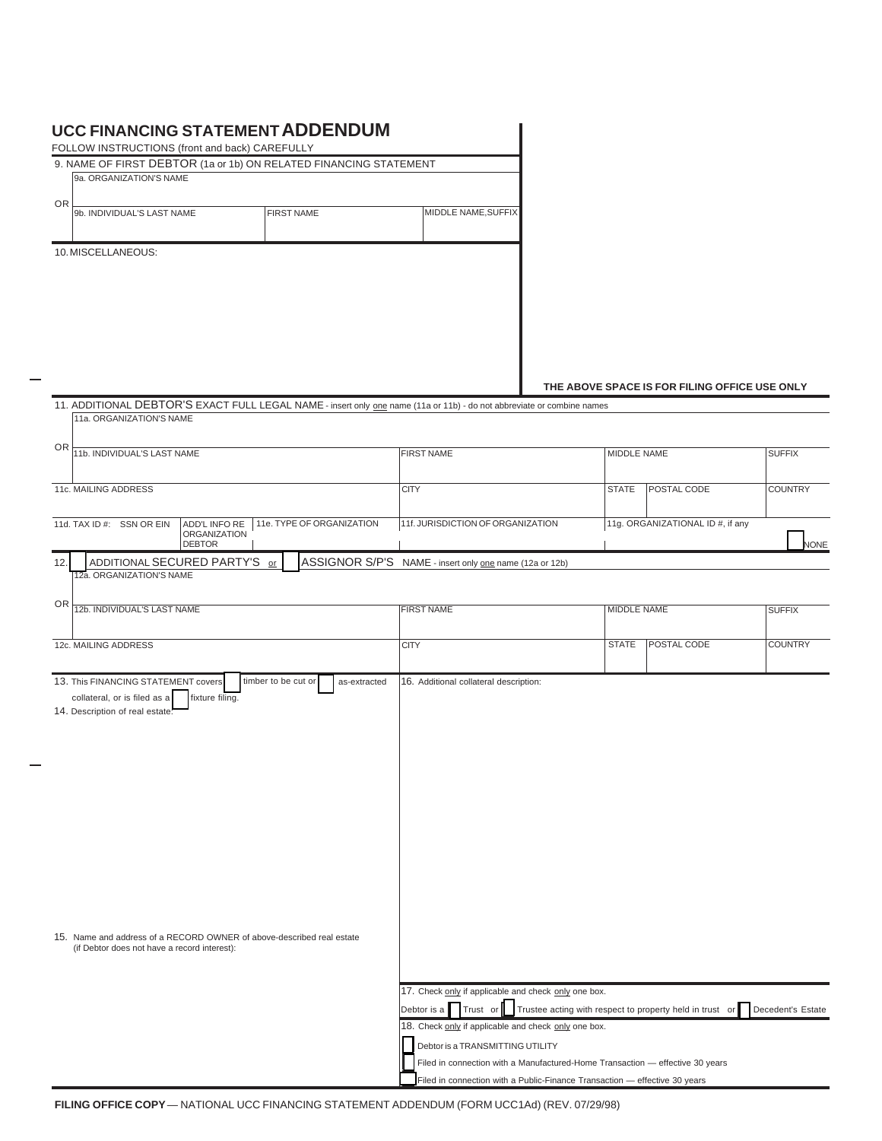## **UCC FINANCING STATEMENT ADDENDUM**

| <b>UCC FINANCING STATEMENT ADDENDUM</b><br>FOLLOW INSTRUCTIONS (front and back) CAREFULLY                       |  |  |                                   |                                                                                                                        |                                                 |                    |                                               |                |
|-----------------------------------------------------------------------------------------------------------------|--|--|-----------------------------------|------------------------------------------------------------------------------------------------------------------------|-------------------------------------------------|--------------------|-----------------------------------------------|----------------|
| 9. NAME OF FIRST DEBTOR (1a or 1b) ON RELATED FINANCING STATEMENT                                               |  |  |                                   |                                                                                                                        |                                                 |                    |                                               |                |
| 9a. ORGANIZATION'S NAME                                                                                         |  |  |                                   |                                                                                                                        |                                                 |                    |                                               |                |
| <b>OR</b>                                                                                                       |  |  |                                   |                                                                                                                        |                                                 |                    |                                               |                |
| 9b. INDIVIDUAL'S LAST NAME                                                                                      |  |  | <b>FIRST NAME</b>                 | MIDDLE NAME, SUFFIX                                                                                                    |                                                 |                    |                                               |                |
| 10. MISCELLANEOUS:                                                                                              |  |  |                                   |                                                                                                                        |                                                 |                    |                                               |                |
|                                                                                                                 |  |  |                                   |                                                                                                                        |                                                 |                    |                                               |                |
|                                                                                                                 |  |  |                                   |                                                                                                                        |                                                 |                    |                                               |                |
|                                                                                                                 |  |  |                                   |                                                                                                                        |                                                 |                    | THE ABOVE SPACE IS FOR FILING OFFICE USE ONLY |                |
|                                                                                                                 |  |  |                                   | 11. ADDITIONAL DEBTOR'S EXACT FULL LEGAL NAME - insert only one name (11a or 11b) - do not abbreviate or combine names |                                                 |                    |                                               |                |
| 11a. ORGANIZATION'S NAME                                                                                        |  |  |                                   |                                                                                                                        |                                                 |                    |                                               |                |
|                                                                                                                 |  |  |                                   |                                                                                                                        |                                                 |                    |                                               |                |
| <b>OR</b><br>11b. INDIVIDUAL'S LAST NAME                                                                        |  |  | <b>FIRST NAME</b>                 | <b>MIDDLE NAME</b>                                                                                                     |                                                 | <b>SUFFIX</b>      |                                               |                |
|                                                                                                                 |  |  |                                   |                                                                                                                        |                                                 |                    |                                               |                |
| 11c. MAILING ADDRESS                                                                                            |  |  | <b>CITY</b>                       |                                                                                                                        | <b>STATE</b>                                    | POSTAL CODE        | <b>COUNTRY</b>                                |                |
| 11e. TYPE OF ORGANIZATION<br>11d. TAX ID #: SSN OR EIN<br>ADD'L INFO RE<br><b>ORGANIZATION</b><br><b>DEBTOR</b> |  |  | 11f. JURISDICTION OF ORGANIZATION |                                                                                                                        | 11g. ORGANIZATIONAL ID #, if any<br><b>NONE</b> |                    |                                               |                |
| ADDITIONAL SECURED PARTY'S or<br>12.                                                                            |  |  |                                   | ASSIGNOR S/P'S NAME - insert only one name (12a or 12b)                                                                |                                                 |                    |                                               |                |
| 12a. ORGANIZATION'S NAME                                                                                        |  |  |                                   |                                                                                                                        |                                                 |                    |                                               |                |
| <b>OR</b><br>12b. INDIVIDUAL'S LAST NAME                                                                        |  |  |                                   | <b>FIRST NAME</b>                                                                                                      |                                                 | <b>MIDDLE NAME</b> |                                               | <b>SUFFIX</b>  |
|                                                                                                                 |  |  |                                   |                                                                                                                        |                                                 |                    |                                               |                |
| 12c. MAILING ADDRESS                                                                                            |  |  |                                   |                                                                                                                        |                                                 |                    | <b>POSTAL CODE</b>                            | <b>COUNTRY</b> |

| UR  <br>12b. INDIVIDUAL'S LAST NAME                                                | <b>FIRST NAME</b>                                                                           |              | <b>MIDDLE NAME</b> |                   |  |
|------------------------------------------------------------------------------------|---------------------------------------------------------------------------------------------|--------------|--------------------|-------------------|--|
|                                                                                    |                                                                                             |              |                    |                   |  |
| 12c. MAILING ADDRESS                                                               | <b>CITY</b>                                                                                 | <b>STATE</b> | <b>POSTAL CODE</b> | <b>COUNTRY</b>    |  |
|                                                                                    |                                                                                             |              |                    |                   |  |
| timber to be cut or<br>13. This FINANCING STATEMENT covers<br>as-extracted         | 16. Additional collateral description:                                                      |              |                    |                   |  |
| collateral, or is filed as a<br>fixture filing.<br>14. Description of real estate. |                                                                                             |              |                    |                   |  |
|                                                                                    |                                                                                             |              |                    |                   |  |
|                                                                                    |                                                                                             |              |                    |                   |  |
|                                                                                    |                                                                                             |              |                    |                   |  |
|                                                                                    |                                                                                             |              |                    |                   |  |
|                                                                                    |                                                                                             |              |                    |                   |  |
|                                                                                    |                                                                                             |              |                    |                   |  |
|                                                                                    |                                                                                             |              |                    |                   |  |
|                                                                                    |                                                                                             |              |                    |                   |  |
|                                                                                    |                                                                                             |              |                    |                   |  |
|                                                                                    |                                                                                             |              |                    |                   |  |
|                                                                                    |                                                                                             |              |                    |                   |  |
|                                                                                    |                                                                                             |              |                    |                   |  |
| 15. Name and address of a RECORD OWNER of above-described real estate              |                                                                                             |              |                    |                   |  |
| (if Debtor does not have a record interest):                                       |                                                                                             |              |                    |                   |  |
|                                                                                    |                                                                                             |              |                    |                   |  |
|                                                                                    | 17. Check only if applicable and check only one box.                                        |              |                    |                   |  |
|                                                                                    | Debtor is a $\Box$ Trust or $\Box$ Trustee acting with respect to property held in trust or |              |                    | Decedent's Estate |  |
|                                                                                    | 18. Check only if applicable and check only one box.                                        |              |                    |                   |  |
|                                                                                    | Debtor is a TRANSMITTING UTILITY                                                            |              |                    |                   |  |
|                                                                                    | Filed in connection with a Manufactured-Home Transaction - effective 30 years               |              |                    |                   |  |
|                                                                                    | Filed in connection with a Public-Finance Transaction - effective 30 years                  |              |                    |                   |  |